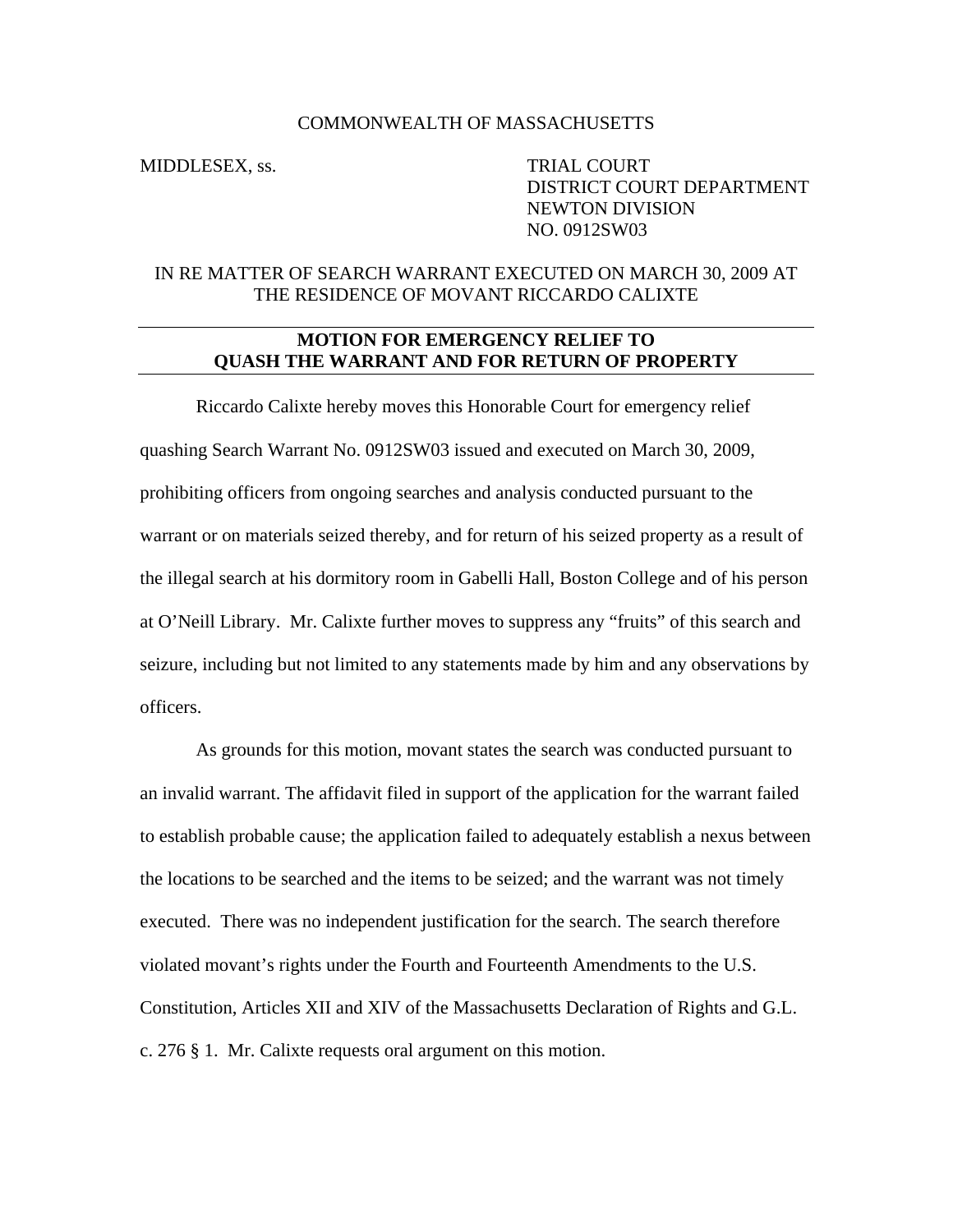## COMMONWEALTH OF MASSACHUSETTS

MIDDLESEX, ss. TRIAL COURT DISTRICT COURT DEPARTMENT NEWTON DIVISION NO. 0912SW03

## IN RE MATTER OF SEARCH WARRANT EXECUTED ON MARCH 30, 2009 AT THE RESIDENCE OF MOVANT RICCARDO CALIXTE

## **MOTION FOR EMERGENCY RELIEF TO QUASH THE WARRANT AND FOR RETURN OF PROPERTY**

Riccardo Calixte hereby moves this Honorable Court for emergency relief quashing Search Warrant No. 0912SW03 issued and executed on March 30, 2009, prohibiting officers from ongoing searches and analysis conducted pursuant to the warrant or on materials seized thereby, and for return of his seized property as a result of the illegal search at his dormitory room in Gabelli Hall, Boston College and of his person at O'Neill Library. Mr. Calixte further moves to suppress any "fruits" of this search and seizure, including but not limited to any statements made by him and any observations by officers.

As grounds for this motion, movant states the search was conducted pursuant to an invalid warrant. The affidavit filed in support of the application for the warrant failed to establish probable cause; the application failed to adequately establish a nexus between the locations to be searched and the items to be seized; and the warrant was not timely executed. There was no independent justification for the search. The search therefore violated movant's rights under the Fourth and Fourteenth Amendments to the U.S. Constitution, Articles XII and XIV of the Massachusetts Declaration of Rights and G.L. c. 276 § 1. Mr. Calixte requests oral argument on this motion.